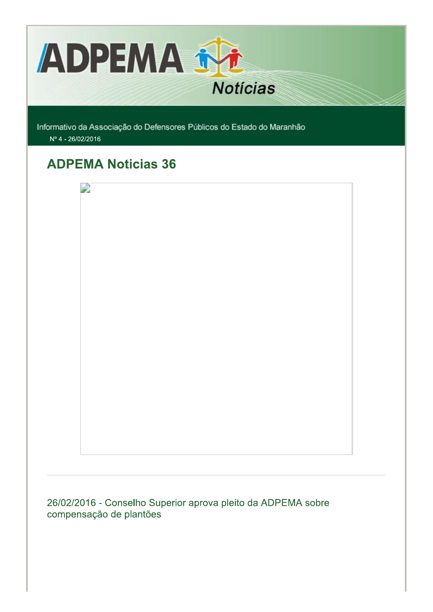

Informativo da Associação do Defensores Públicos do Estado do Maranhão Nº 4 - 26/02/2016

# **ADPEMA Noticias 36**



26/02/2016 - Conselho Superior aprova pleito da ADPEMA sobre compensação de plantões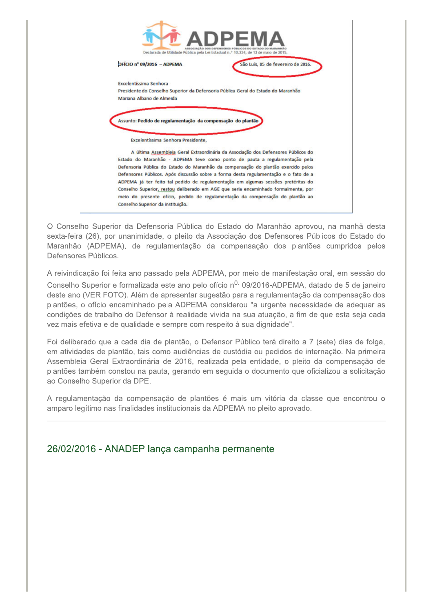

O Conselho Superior da Defensoria Pública do Estado do Maranhão aprovou, na manhã desta sexta-feira (26), por unanimidade, o pleito da Associação dos Defensores Públicos do Estado do Maranhão (ADPEMA), de regulamentação da compensação dos plantões cumpridos pelos Defensores Públicos.

A reivindicação foi feita ano passado pela ADPEMA, por meio de manifestação oral, em sessão do Conselho Superior e formalizada este ano pelo ofício n<sup>0,</sup> 09/2016-ADPEMA, datado de 5 de janeiro deste ano (VER FOTO). Além de apresentar sugestão para a regulamentação da compensação dos plantões, o ofício encaminhado pela ADPEMA considerou "a urgente necessidade de adequar as condições de trabalho do Defensor à realidade vivida na sua atuação, a fim de que esta seja cada vez mais efetiva e de qualidade e sempre com respeito à sua dignidade".

Foi deliberado que a cada dia de plantão, o Defensor Público terá direito a 7 (sete) dias de folga, em atividades de plantão, tais como audiências de custódia ou pedidos de internação. Na primeira Assembleia Geral Extraordinária de 2016, realizada pela entidade, o pleito da compensação de plantões também constou na pauta, gerando em seguida o documento que oficializou a solicitação ao Conselho Superior da DPE.

A regulamentação da compensação de plantões é mais um vitória da classe que encontrou o amparo legítimo nas finalidades institucionais da ADPEMA no pleito aprovado.

### 26/02/2016 - ANADEP lança campanha permanente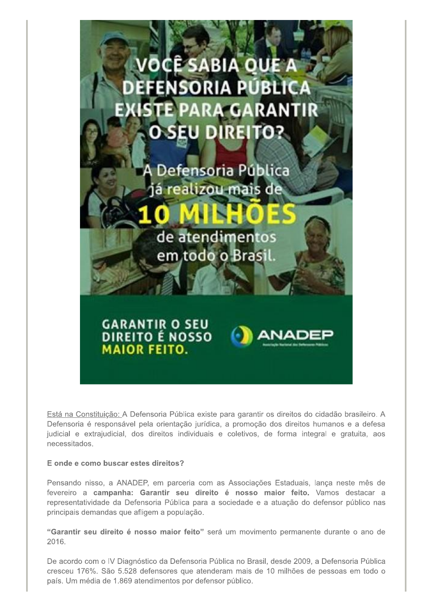

Está na Constituição: A Defensoria Pública existe para garantir os direitos do cidadão brasileiro. A Defensoria é responsável pela orientação jurídica, a promoção dos direitos humanos e a defesa judicial e extrajudicial, dos direitos individuais e coletivos, de forma integral e gratuita, aos necessitados.

#### E onde e como buscar estes direitos?

Pensando nisso, a ANADEP, em parceria com as Associações Estaduais, lança neste mês de fevereiro a campanha: Garantir seu direito é nosso maior feito. Vamos destacar a representatividade da Defensoria Pública para a sociedade e a atuação do defensor público nas principais demandas que afligem a população.

"Garantir seu direito é nosso maior feito" será um movimento permanente durante o ano de 2016.

De acordo com o IV Diagnóstico da Defensoria Pública no Brasil, desde 2009, a Defensoria Pública cresceu 176%. São 5.528 defensores que atenderam mais de 10 milhões de pessoas em todo o país. Um média de 1.869 atendimentos por defensor público.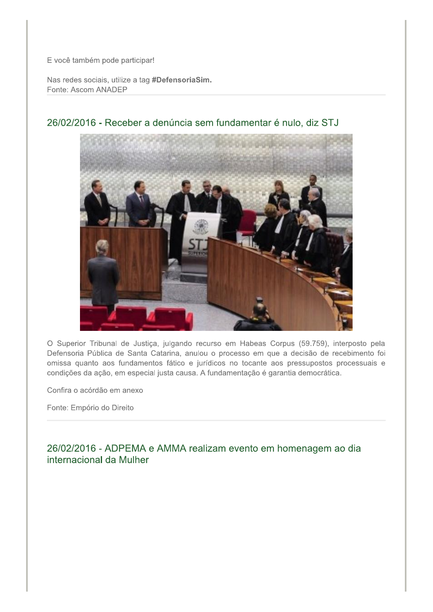E você também pode participar!

Nas redes sociais, utilize a tag #DefensoriaSim. Fonte: Ascom ANADEP



### 26/02/2016 - Receber a denúncia sem fundamentar é nulo, diz STJ

O Superior Tribunal de Justiça, julgando recurso em Habeas Corpus (59.759), interposto pela Defensoria Pública de Santa Catarina, anulou o processo em que a decisão de recebimento foi omissa quanto aos fundamentos fático e jurídicos no tocante aos pressupostos processuais e condições da ação, em especial justa causa. A fundamentação é garantia democrática.

Confira o acórdão em anexo

Fonte: Empório do Direito

26/02/2016 - ADPEMA e AMMA realizam evento em homenagem ao dia internacional da Mulher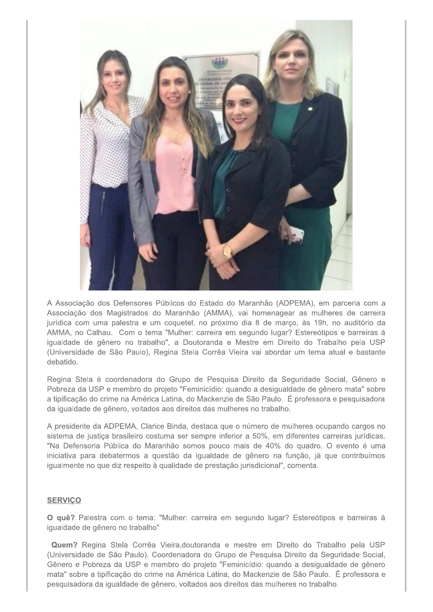

A Associação dos Defensores Públicos do Estado do Maranhão (ADPEMA), em parceria com a Associação dos Magistrados do Maranhão (AMMA), vai homenagear as mulheres de carreira jurídica com uma palestra e um coquetel, no próximo dia 8 de marco, às 19h, no auditório da AMMA, no Calhau. Com o tema "Mulher: carreira em segundo lugar? Estereótipos e barreiras à igualdade de gênero no trabalho", a Doutoranda e Mestre em Direito do Trabalho pela USP (Universidade de São Paulo), Regina Stela Corrêa Vieira vai abordar um tema atual e bastante debatido.

Regina Stela é coordenadora do Grupo de Pesquisa Direito da Seguridade Social, Gênero e Pobreza da USP e membro do projeto "Feminicídio: quando a desigualdade de gênero mata" sobre a tipificação do crime na América Latina, do Mackenzie de São Paulo. É professora e pesquisadora da igualdade de gênero, voltados aos direitos das mulheres no trabalho.

A presidente da ADPEMA. Clarice Binda, destaca que o número de mulheres ocupando cargos no sistema de justica brasileiro costuma ser sempre inferior a 50%, em diferentes carreiras jurídicas. "Na Defensoria Pública do Maranhão somos pouco mais de 40% do quadro. O evento é uma iniciativa para debatermos a questão da igualdade de gênero na função, já que contribuímos igualmente no que diz respeito à qualidade de prestação jurisdicional", comenta.

#### **SERVICO**

O quê? Palestra com o tema: "Mulher: carreira em segundo lugar? Estereótipos e barreiras à igualdade de gênero no trabalho"

Quem? Regina Stela Corrêa Vieira, doutoranda e mestre em Direito do Trabalho pela USP (Universidade de São Paulo). Coordenadora do Grupo de Pesquisa Direito da Seguridade Social. Gênero e Pobreza da USP e membro do projeto "Feminicídio: quando a desigualdade de gênero mata" sobre a tipificação do crime na América Latina, do Mackenzie de São Paulo. É professora e pesquisadora da igualdade de gênero, voltados aos direitos das mulheres no trabalho.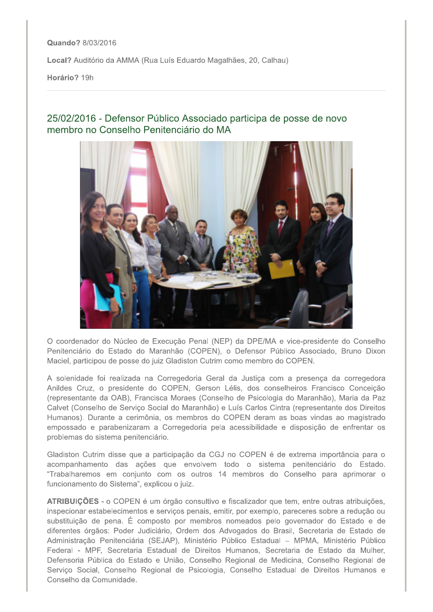Quando? 8/03/2016

Local? Auditório da AMMA (Rua Luís Eduardo Magalhães, 20, Calhau)

Horário? 19h

### 25/02/2016 - Defensor Público Associado participa de posse de novo membro no Conselho Penitenciário do MA



O coordenador do Núcleo de Execução Penal (NEP) da DPE/MA e vice-presidente do Conselho Penitenciário do Estado do Maranhão (COPEN), o Defensor Público Associado, Bruno Dixon Maciel, participou de posse do juiz Gladiston Cutrim como membro do COPEN.

A solenidade foi realizada na Corregedoria Geral da Justica com a presença da corregedora Anildes Cruz, o presidente do COPEN, Gerson Lélis, dos conselheiros Francisco Conceição (representante da OAB), Francisca Moraes (Conselho de Psicologia do Maranhão), Maria da Paz Calvet (Conselho de Serviço Social do Maranhão) e Luís Carlos Cintra (representante dos Direitos Humanos). Durante a cerimônia, os membros do COPEN deram as boas vindas ao magistrado empossado e parabenizaram a Corregedoria pela acessibilidade e disposição de enfrentar os problemas do sistema penitenciário.

Gladiston Cutrim disse que a participação da CGJ no COPEN é de extrema importância para o acompanhamento das ações que envolvem todo o sistema penitenciário do Estado. "Trabalharemos em conjunto com os outros 14 membros do Conselho para aprimorar o funcionamento do Sistema", explicou o juiz.

ATRIBUIÇÕES - o COPEN é um órgão consultivo e fiscalizador que tem, entre outras atribuições, inspecionar estabelecimentos e serviços penais, emitir, por exemplo, pareceres sobre a redução ou substituição de pena. É composto por membros nomeados pelo governador do Estado e de diferentes órgãos: Poder Judiciário, Ordem dos Advogados do Brasil, Secretaria de Estado de Administração Penitenciária (SEJAP), Ministério Público Estadual - MPMA, Ministério Público Federal - MPF, Secretaria Estadual de Direitos Humanos, Secretaria de Estado da Mulher, Defensoria Pública do Estado e União, Conselho Regional de Medicina, Conselho Regional de Serviço Social, Conselho Regional de Psicologia, Conselho Estadual de Direitos Humanos e Conselho da Comunidade.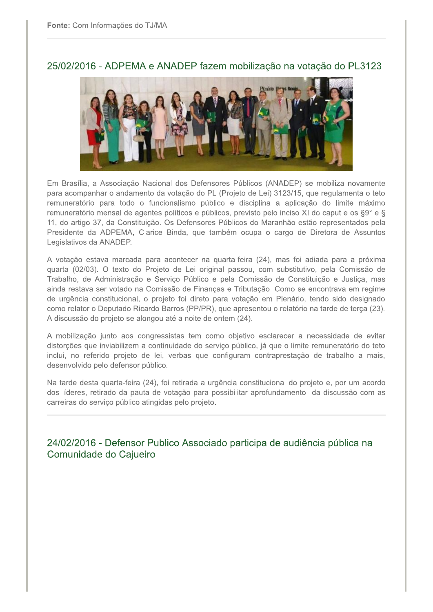

25/02/2016 - ADPEMA e ANADEP fazem mobilização na votação do PL3123

Em Brasília, a Associação Nacional dos Defensores Públicos (ANADEP) se mobiliza novamente para acompanhar o andamento da votação do PL (Projeto de Lei) 3123/15, que regulamenta o teto remuneratório para todo o funcionalismo público e disciplina a aplicação do limite máximo remuneratório mensal de agentes políticos e públicos, previsto pelo inciso XI do caput e os §9° e § 11, do artigo 37, da Constituição. Os Defensores Públicos do Maranhão estão representados pela Presidente da ADPEMA, Clarice Binda, que também ocupa o cargo de Diretora de Assuntos Legislativos da ANADEP.

A votação estava marcada para acontecer na quarta-feira (24), mas foi adiada para a próxima quarta (02/03). O texto do Projeto de Lei original passou, com substitutivo, pela Comissão de Trabalho, de Administração e Serviço Público e pela Comissão de Constituição e Justiça, mas ainda restava ser votado na Comissão de Finanças e Tributação. Como se encontrava em regime de urgência constitucional, o projeto foi direto para votação em Plenário, tendo sido designado como relator o Deputado Ricardo Barros (PP/PR), que apresentou o relatório na tarde de terça (23). A discussão do projeto se alongou até a noite de ontem (24).

A mobilização junto aos congressistas tem como objetivo esclarecer a necessidade de evitar distorções que inviabilizem a continuidade do serviço público, já que o limite remuneratório do teto inclui, no referido projeto de lei, verbas que configuram contraprestação de trabalho a mais, desenvolvido pelo defensor público.

Na tarde desta quarta-feira (24), foi retirada a urgência constitucional do projeto e, por um acordo dos líderes, retirado da pauta de votação para possibilitar aprofundamento da discussão com as carreiras do serviço público atingidas pelo projeto.

24/02/2016 - Defensor Publico Associado participa de audiência pública na Comunidade do Cajueiro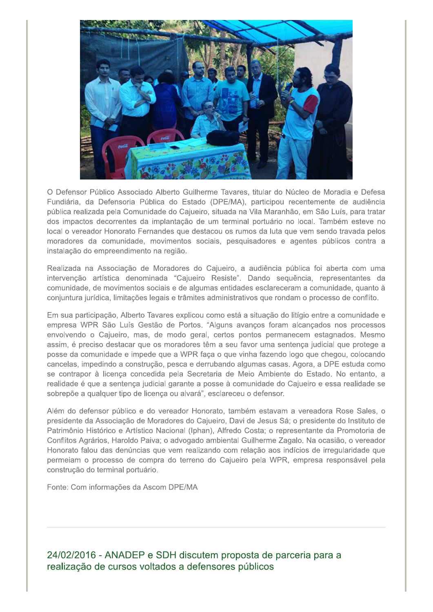

O Defensor Público Associado Alberto Guilherme Tavares, titular do Núcleo de Moradia e Defesa Fundiária, da Defensoria Pública do Estado (DPE/MA), participou recentemente de audiência pública realizada pela Comunidade do Cajueiro, situada na Vila Maranhão, em São Luís, para tratar dos impactos decorrentes da implantação de um terminal portuário no local. Também esteve no local o vereador Honorato Fernandes que destacou os rumos da luta que vem sendo travada pelos moradores da comunidade, movimentos sociais, pesquisadores e agentes públicos contra a instalação do empreendimento na região.

Realizada na Associação de Moradores do Cajueiro, a audiência pública foi aberta com uma intervenção artística denominada "Cajueiro Resiste". Dando sequência, representantes da comunidade, de movimentos sociais e de algumas entidades esclareceram a comunidade, quanto à conjuntura jurídica, limitações legais e trâmites administrativos que rondam o processo de conflito.

Em sua participação, Alberto Tavares explicou como está a situação do litígio entre a comunidade e empresa WPR São Luís Gestão de Portos. "Alguns avancos foram alcancados nos processos envolvendo o Cajueiro, mas, de modo geral, certos pontos permanecem estagnados. Mesmo assim, é preciso destacar que os moradores têm a seu favor uma sentença judicial que protege a posse da comunidade e impede que a WPR faça o que vinha fazendo logo que chegou, colocando cancelas, impedindo a construção, pesca e derrubando algumas casas. Agora, a DPE estuda como se contrapor à licença concedida pela Secretaria de Meio Ambiente do Estado. No entanto, a realidade é que a sentença judicial garante a posse à comunidade do Cajueiro e essa realidade se sobrepõe a qualquer tipo de licença ou alvará", esclareceu o defensor.

Além do defensor público e do vereador Honorato, também estavam a vereadora Rose Sales, o presidente da Associação de Moradores do Cajueiro, Davi de Jesus Sá; o presidente do Instituto de Patrimônio Histórico e Artístico Nacional (Iphan), Alfredo Costa; o representante da Promotoria de Conflitos Agrários, Haroldo Paiva; o advogado ambiental Guilherme Zagalo. Na ocasião, o vereador Honorato falou das denúncias que vem realizando com relação aos indícios de irregularidade que permeiam o processo de compra do terreno do Cajueiro pela WPR, empresa responsável pela construção do terminal portuário.

Fonte: Com informações da Ascom DPE/MA

24/02/2016 - ANADEP e SDH discutem proposta de parceria para a realização de cursos voltados a defensores públicos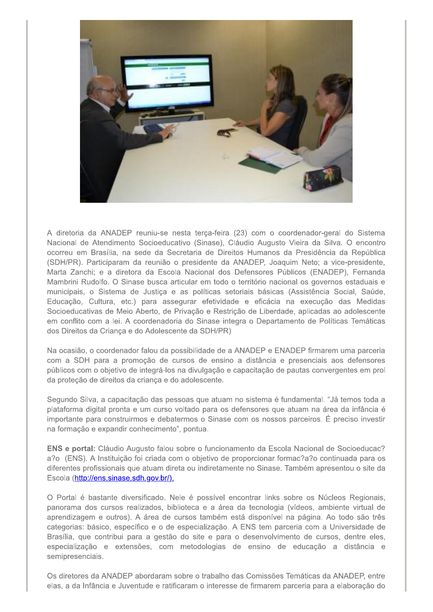

A diretoria da ANADEP reuniu-se nesta terça-feira (23) com o coordenador-geral do Sistema Nacional de Atendimento Socioeducativo (Sinase), Cláudio Augusto Vieira da Silva. O encontro ocorreu em Brasília, na sede da Secretaria de Direitos Humanos da Presidência da República (SDH/PR). Participaram da reunião o presidente da ANADEP, Joaquim Neto; a vice-presidente, Marta Zanchi; e a diretora da Escola Nacional dos Defensores Públicos (ENADEP), Fernanda Mambrini Rudolfo. O Sinase busca articular em todo o território nacional os governos estaduais e municipais, o Sistema de Justica e as políticas setoriais básicas (Assistência Social, Saúde, Educação, Cultura, etc.) para assegurar efetividade e eficácia na execução das Medidas Socioeducativas de Meio Aberto, de Privação e Restrição de Liberdade, aplicadas ao adolescente em conflito com a lei. A coordenadoria do Sinase integra o Departamento de Políticas Temáticas dos Direitos da Criança e do Adolescente da SDH/PR)

Na ocasião, o coordenador falou da possibilidade de a ANADEP e ENADEP firmarem uma parceria com a SDH para a promoção de cursos de ensino a distância e presenciais aos defensores públicos com o objetivo de integrá-los na divulgação e capacitação de pautas convergentes em prol da proteção de direitos da criança e do adolescente.

Segundo Silva, a capacitação das pessoas que atuam no sistema é fundamental. "Já temos toda a plataforma digital pronta e um curso voltado para os defensores que atuam na área da infância é importante para construirmos e debatermos o Sinase com os nossos parceiros. É preciso investir na formação e expandir conhecimento", pontua.

ENS e portal: Cláudio Augusto falou sobre o funcionamento da Escola Nacional de Socioeducac? a?o (ENS). A Instituição foi criada com o objetivo de proporcionar formac?a?o continuada para os diferentes profissionais que atuam direta ou indiretamente no Sinase. Também apresentou o site da Escola (http://ens.sinase.sdh.gov.br/).

O Portal é bastante diversificado. Nele é possível encontrar links sobre os Núcleos Regionais. panorama dos cursos realizados, biblioteca e a área da tecnologia (vídeos, ambiente virtual de aprendizagem e outros). A área de cursos também está disponível na página. Ao todo são três categorias: básico, específico e o de especialização. A ENS tem parceria com a Universidade de Brasília, que contribui para a gestão do site e para o desenvolvimento de cursos, dentre eles, especialização e extensões, com metodologias de ensino de educação a distância e semipresenciais.

Os diretores da ANADEP abordaram sobre o trabalho das Comissões Temáticas da ANADEP, entre elas, a da Infância e Juventude e ratificaram o interesse de firmarem parceria para a elaboração do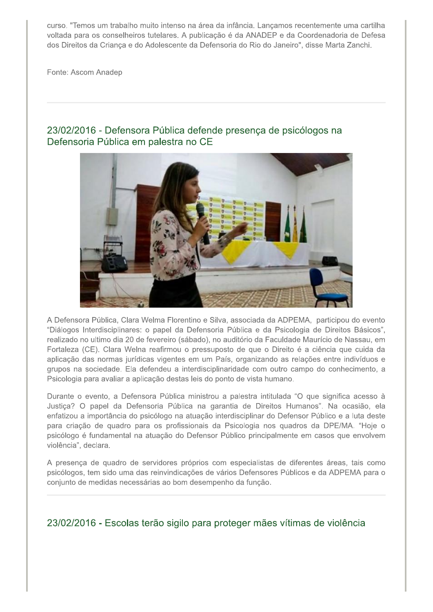curso. "Temos um trabalho muito intenso na área da infância. Lançamos recentemente uma cartilha voltada para os conselheiros tutelares. A publicação é da ANADEP e da Coordenadoria de Defesa dos Direitos da Crianca e do Adolescente da Defensoria do Rio do Janeiro", disse Marta Zanchi.

Fonte: Ascom Anadep



## 23/02/2016 - Defensora Pública defende presença de psicólogos na Defensoria Pública em palestra no CE

A Defensora Pública, Clara Welma Florentino e Silva, associada da ADPEMA, participou do evento "Diálogos Interdisciplinares: o papel da Defensoria Pública e da Psicologia de Direitos Básicos", realizado no ultimo dia 20 de fevereiro (sábado), no auditório da Faculdade Maurício de Nassau, em Fortaleza (CE). Clara Welna reafirmou o pressuposto de que o Direito é a ciência que cuida da aplicação das normas jurídicas vigentes em um País, organizando as relações entre indivíduos e grupos na sociedade. Ela defendeu a interdisciplinaridade com outro campo do conhecimento, a Psicologia para avaliar a aplicação destas leis do ponto de vista humano.

Durante o evento, a Defensora Pública ministrou a palestra intitulada "O que significa acesso à Justiça? O papel da Defensoria Pública na garantia de Direitos Humanos". Na ocasião, ela enfatizou a importância do psicólogo na atuação interdisciplinar do Defensor Público e a luta deste para criação de quadro para os profissionais da Psicologia nos quadros da DPE/MA. "Hoje o psicólogo é fundamental na atuação do Defensor Público principalmente em casos que envolvem violência", declara.

A presença de quadro de servidores próprios com especialistas de diferentes áreas, tais como psicólogos, tem sido uma das reinvindicações de vários Defensores Públicos e da ADPEMA para o conjunto de medidas necessárias ao bom desempenho da função.

### 23/02/2016 - Escolas terão sigilo para proteger mães vítimas de violência